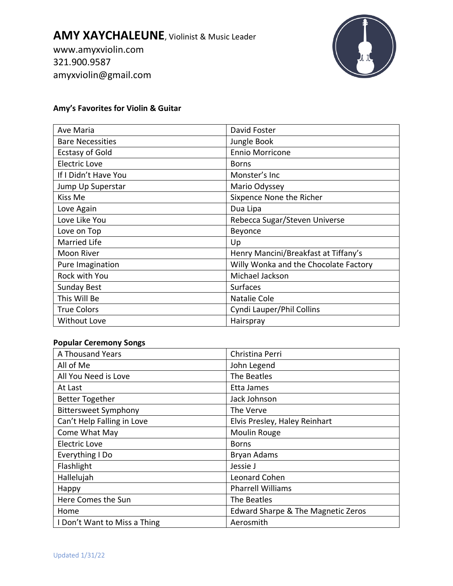www.amyxviolin.com 321.900.9587 amyxviolin@gmail.com



### **Amy's Favorites for Violin & Guitar**

| Ave Maria               | David Foster                          |
|-------------------------|---------------------------------------|
| <b>Bare Necessities</b> | Jungle Book                           |
| <b>Ecstasy of Gold</b>  | <b>Ennio Morricone</b>                |
| <b>Electric Love</b>    | <b>Borns</b>                          |
| If I Didn't Have You    | Monster's Inc                         |
| Jump Up Superstar       | Mario Odyssey                         |
| Kiss Me                 | Sixpence None the Richer              |
| Love Again              | Dua Lipa                              |
| Love Like You           | Rebecca Sugar/Steven Universe         |
| Love on Top             | Beyonce                               |
| <b>Married Life</b>     | Up                                    |
| <b>Moon River</b>       | Henry Mancini/Breakfast at Tiffany's  |
| Pure Imagination        | Willy Wonka and the Chocolate Factory |
| Rock with You           | Michael Jackson                       |
| <b>Sunday Best</b>      | Surfaces                              |
| This Will Be            | Natalie Cole                          |
| <b>True Colors</b>      | Cyndi Lauper/Phil Collins             |
| <b>Without Love</b>     | Hairspray                             |

#### **Popular Ceremony Songs**

| A Thousand Years             | Christina Perri                    |
|------------------------------|------------------------------------|
| All of Me                    | John Legend                        |
| All You Need is Love         | The Beatles                        |
| At Last                      | Etta James                         |
| <b>Better Together</b>       | Jack Johnson                       |
| <b>Bittersweet Symphony</b>  | The Verve                          |
| Can't Help Falling in Love   | Elvis Presley, Haley Reinhart      |
| Come What May                | Moulin Rouge                       |
| <b>Electric Love</b>         | <b>Borns</b>                       |
| Everything I Do              | Bryan Adams                        |
| Flashlight                   | Jessie J                           |
| Hallelujah                   | Leonard Cohen                      |
| Happy                        | <b>Pharrell Williams</b>           |
| Here Comes the Sun           | The Beatles                        |
| Home                         | Edward Sharpe & The Magnetic Zeros |
| I Don't Want to Miss a Thing | Aerosmith                          |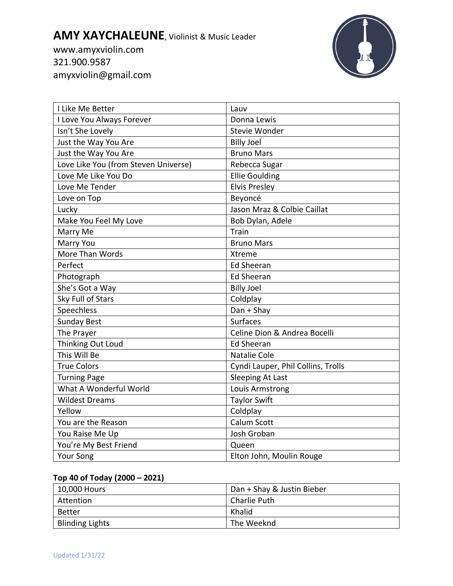www.amyxviolin.com 321.900.9587 amyxviolin@gmail.com



| I Like Me Better                     | Lauv                               |
|--------------------------------------|------------------------------------|
| I Love You Always Forever            | Donna Lewis                        |
| Isn't She Lovely                     | Stevie Wonder                      |
| Just the Way You Are                 | <b>Billy Joel</b>                  |
| Just the Way You Are                 | <b>Bruno Mars</b>                  |
| Love Like You (from Steven Universe) | Rebecca Sugar                      |
| Love Me Like You Do                  | <b>Ellie Goulding</b>              |
| Love Me Tender                       | <b>Elvis Presley</b>               |
| Love on Top                          | Beyoncé                            |
| Lucky                                | Jason Mraz & Colbie Caillat        |
| Make You Feel My Love                | Bob Dylan, Adele                   |
| Marry Me                             | <b>Train</b>                       |
| Marry You                            | <b>Bruno Mars</b>                  |
| More Than Words                      | Xtreme                             |
| Perfect                              | <b>Ed Sheeran</b>                  |
| Photograph                           | <b>Ed Sheeran</b>                  |
| She's Got a Way                      | <b>Billy Joel</b>                  |
| Sky Full of Stars                    | Coldplay                           |
| Speechless                           | Dan + Shay                         |
| <b>Sunday Best</b>                   | Surfaces                           |
| The Prayer                           | Celine Dion & Andrea Bocelli       |
| Thinking Out Loud                    | <b>Ed Sheeran</b>                  |
| This Will Be                         | Natalie Cole                       |
| <b>True Colors</b>                   | Cyndi Lauper, Phil Collins, Trolls |
| <b>Turning Page</b>                  | Sleeping At Last                   |
| What A Wonderful World               | Louis Armstrong                    |
| <b>Wildest Dreams</b>                | <b>Taylor Swift</b>                |
| Yellow                               | Coldplay                           |
| You are the Reason                   | Calum Scott                        |
| You Raise Me Up                      | Josh Groban                        |
| You're My Best Friend                | Queen                              |
| <b>Your Song</b>                     | Elton John, Moulin Rouge           |

### **Top 40 of Today (2000 – 2021)**

| 10,000 Hours           | Dan + Shay & Justin Bieber |
|------------------------|----------------------------|
| Attention              | Charlie Puth               |
| <b>Better</b>          | Khalid                     |
| <b>Blinding Lights</b> | The Weeknd                 |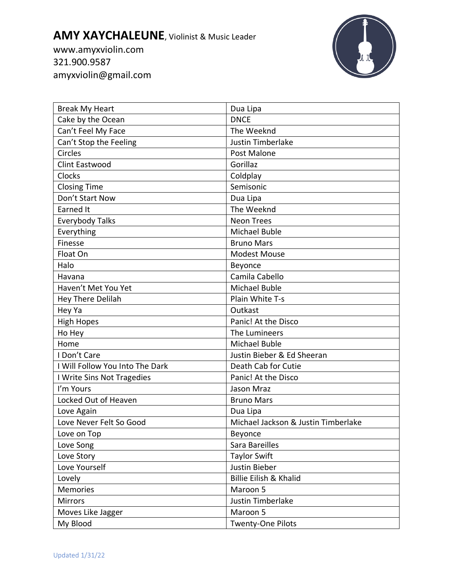www.amyxviolin.com 321.900.9587 amyxviolin@gmail.com



| <b>Break My Heart</b>           | Dua Lipa                            |
|---------------------------------|-------------------------------------|
| Cake by the Ocean               | <b>DNCE</b>                         |
| Can't Feel My Face              | The Weeknd                          |
| Can't Stop the Feeling          | <b>Justin Timberlake</b>            |
| Circles                         | Post Malone                         |
| <b>Clint Eastwood</b>           | Gorillaz                            |
| Clocks                          | Coldplay                            |
| <b>Closing Time</b>             | Semisonic                           |
| Don't Start Now                 | Dua Lipa                            |
| Earned It                       | The Weeknd                          |
| <b>Everybody Talks</b>          | <b>Neon Trees</b>                   |
| Everything                      | <b>Michael Buble</b>                |
| Finesse                         | <b>Bruno Mars</b>                   |
| Float On                        | <b>Modest Mouse</b>                 |
| Halo                            | Beyonce                             |
| Havana                          | Camila Cabello                      |
| Haven't Met You Yet             | <b>Michael Buble</b>                |
| Hey There Delilah               | Plain White T-s                     |
| Hey Ya                          | Outkast                             |
| <b>High Hopes</b>               | Panic! At the Disco                 |
| Ho Hey                          | The Lumineers                       |
| Home                            | <b>Michael Buble</b>                |
| I Don't Care                    | Justin Bieber & Ed Sheeran          |
| I Will Follow You Into The Dark | Death Cab for Cutie                 |
| I Write Sins Not Tragedies      | Panic! At the Disco                 |
| I'm Yours                       | Jason Mraz                          |
| Locked Out of Heaven            | <b>Bruno Mars</b>                   |
| Love Again                      | Dua Lipa                            |
| Love Never Felt So Good         | Michael Jackson & Justin Timberlake |
| Love on Top                     | <b>Beyonce</b>                      |
| Love Song                       | Sara Bareilles                      |
| Love Story                      | <b>Taylor Swift</b>                 |
| Love Yourself                   | Justin Bieber                       |
| Lovely                          | Billie Eilish & Khalid              |
| <b>Memories</b>                 | Maroon 5                            |
| <b>Mirrors</b>                  | Justin Timberlake                   |
| Moves Like Jagger               | Maroon 5                            |
| My Blood                        | Twenty-One Pilots                   |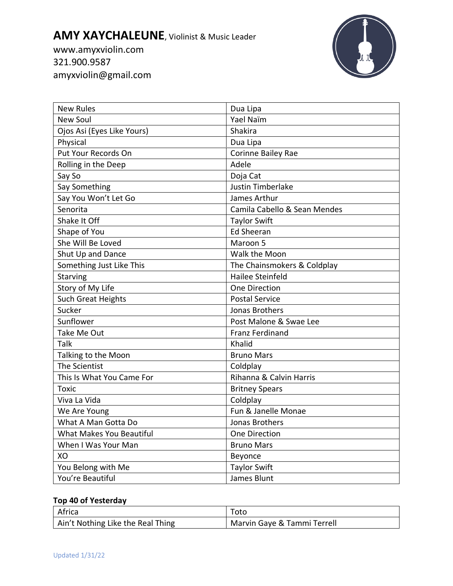www.amyxviolin.com 321.900.9587 amyxviolin@gmail.com



| <b>New Rules</b>           | Dua Lipa                     |
|----------------------------|------------------------------|
| <b>New Soul</b>            | Yael Naïm                    |
| Ojos Asi (Eyes Like Yours) | Shakira                      |
| Physical                   | Dua Lipa                     |
| Put Your Records On        | Corinne Bailey Rae           |
| Rolling in the Deep        | Adele                        |
| Say So                     | Doja Cat                     |
| Say Something              | Justin Timberlake            |
| Say You Won't Let Go       | James Arthur                 |
| Senorita                   | Camila Cabello & Sean Mendes |
| Shake It Off               | <b>Taylor Swift</b>          |
| Shape of You               | <b>Ed Sheeran</b>            |
| She Will Be Loved          | Maroon 5                     |
| Shut Up and Dance          | Walk the Moon                |
| Something Just Like This   | The Chainsmokers & Coldplay  |
| Starving                   | Hailee Steinfeld             |
| Story of My Life           | One Direction                |
| <b>Such Great Heights</b>  | <b>Postal Service</b>        |
| Sucker                     | Jonas Brothers               |
| Sunflower                  | Post Malone & Swae Lee       |
| Take Me Out                | <b>Franz Ferdinand</b>       |
| <b>Talk</b>                | Khalid                       |
| Talking to the Moon        | <b>Bruno Mars</b>            |
| The Scientist              | Coldplay                     |
| This Is What You Came For  | Rihanna & Calvin Harris      |
| Toxic                      | <b>Britney Spears</b>        |
| Viva La Vida               | Coldplay                     |
| We Are Young               | Fun & Janelle Monae          |
| What A Man Gotta Do        | Jonas Brothers               |
| What Makes You Beautiful   | One Direction                |
| When I Was Your Man        | <b>Bruno Mars</b>            |
| XO                         | Beyonce                      |
| You Belong with Me         | <b>Taylor Swift</b>          |
| You're Beautiful           | James Blunt                  |

#### **Top 40 of Yesterday**

| Africa                            | Toto                        |
|-----------------------------------|-----------------------------|
| Ain't Nothing Like the Real Thing | Marvin Gaye & Tammi Terrell |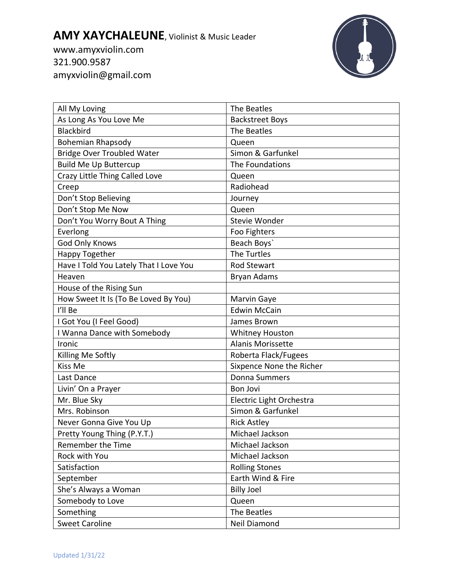www.amyxviolin.com 321.900.9587 amyxviolin@gmail.com



| All My Loving                          | The Beatles              |
|----------------------------------------|--------------------------|
| As Long As You Love Me                 | <b>Backstreet Boys</b>   |
| <b>Blackbird</b>                       | The Beatles              |
| <b>Bohemian Rhapsody</b>               | Queen                    |
| <b>Bridge Over Troubled Water</b>      | Simon & Garfunkel        |
| <b>Build Me Up Buttercup</b>           | The Foundations          |
| Crazy Little Thing Called Love         | Queen                    |
| Creep                                  | Radiohead                |
| Don't Stop Believing                   | Journey                  |
| Don't Stop Me Now                      | Queen                    |
| Don't You Worry Bout A Thing           | Stevie Wonder            |
| Everlong                               | Foo Fighters             |
| God Only Knows                         | Beach Boys'              |
| Happy Together                         | The Turtles              |
| Have I Told You Lately That I Love You | <b>Rod Stewart</b>       |
| Heaven                                 | <b>Bryan Adams</b>       |
| House of the Rising Sun                |                          |
| How Sweet It Is (To Be Loved By You)   | <b>Marvin Gaye</b>       |
| I'll Be                                | <b>Edwin McCain</b>      |
| I Got You (I Feel Good)                | James Brown              |
| I Wanna Dance with Somebody            | <b>Whitney Houston</b>   |
| Ironic                                 | Alanis Morissette        |
| Killing Me Softly                      | Roberta Flack/Fugees     |
| Kiss Me                                | Sixpence None the Richer |
| Last Dance                             | Donna Summers            |
| Livin' On a Prayer                     | <b>Bon Jovi</b>          |
| Mr. Blue Sky                           | Electric Light Orchestra |
| Mrs. Robinson                          | Simon & Garfunkel        |
| Never Gonna Give You Up                | <b>Rick Astley</b>       |
| Pretty Young Thing (P.Y.T.)            | Michael Jackson          |
| Remember the Time                      | Michael Jackson          |
| Rock with You                          | Michael Jackson          |
| Satisfaction                           | <b>Rolling Stones</b>    |
| September                              | Earth Wind & Fire        |
| She's Always a Woman                   | <b>Billy Joel</b>        |
| Somebody to Love                       | Queen                    |
| Something                              | The Beatles              |
| <b>Sweet Caroline</b>                  | Neil Diamond             |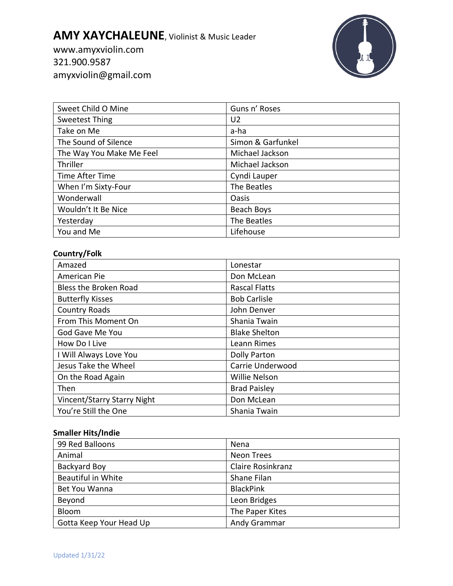www.amyxviolin.com 321.900.9587 amyxviolin@gmail.com



| Sweet Child O Mine       | Guns n' Roses     |
|--------------------------|-------------------|
| <b>Sweetest Thing</b>    | U <sub>2</sub>    |
| Take on Me               | a-ha              |
| The Sound of Silence     | Simon & Garfunkel |
| The Way You Make Me Feel | Michael Jackson   |
| Thriller                 | Michael Jackson   |
| Time After Time          | Cyndi Lauper      |
| When I'm Sixty-Four      | The Beatles       |
| Wonderwall               | Oasis             |
| Wouldn't It Be Nice      | Beach Boys        |
| Yesterday                | The Beatles       |
| You and Me               | Lifehouse         |

### **Country/Folk**

| Amazed                       | Lonestar             |
|------------------------------|----------------------|
| American Pie                 | Don McLean           |
| <b>Bless the Broken Road</b> | <b>Rascal Flatts</b> |
| <b>Butterfly Kisses</b>      | <b>Bob Carlisle</b>  |
| <b>Country Roads</b>         | John Denver          |
| From This Moment On          | Shania Twain         |
| God Gave Me You              | <b>Blake Shelton</b> |
| How Do I Live                | Leann Rimes          |
| I Will Always Love You       | <b>Dolly Parton</b>  |
| Jesus Take the Wheel         | Carrie Underwood     |
| On the Road Again            | Willie Nelson        |
| Then                         | <b>Brad Paisley</b>  |
| Vincent/Starry Starry Night  | Don McLean           |
| You're Still the One         | Shania Twain         |

#### **Smaller Hits/Indie**

| 99 Red Balloons           | Nena              |
|---------------------------|-------------------|
| Animal                    | <b>Neon Trees</b> |
| Backyard Boy              | Claire Rosinkranz |
| <b>Beautiful in White</b> | Shane Filan       |
| Bet You Wanna             | <b>BlackPink</b>  |
| Beyond                    | Leon Bridges      |
| Bloom                     | The Paper Kites   |
| Gotta Keep Your Head Up   | Andy Grammar      |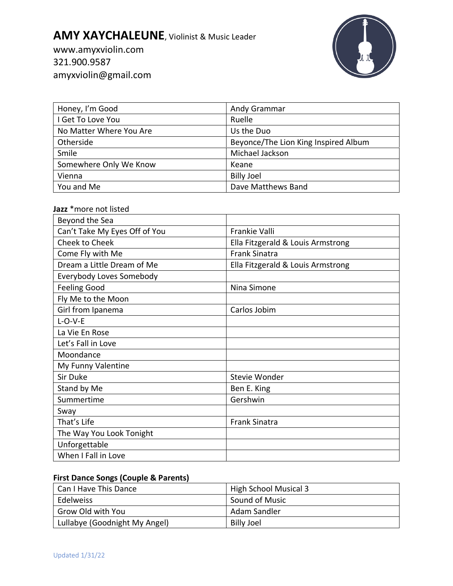www.amyxviolin.com 321.900.9587 amyxviolin@gmail.com



| Honey, I'm Good         | Andy Grammar                         |
|-------------------------|--------------------------------------|
| I Get To Love You       | Ruelle                               |
| No Matter Where You Are | Us the Duo                           |
| Otherside               | Beyonce/The Lion King Inspired Album |
| Smile                   | Michael Jackson                      |
| Somewhere Only We Know  | Keane                                |
| Vienna                  | <b>Billy Joel</b>                    |
| You and Me              | Dave Matthews Band                   |

### **Jazz** \*more not listed

| Beyond the Sea                |                                   |
|-------------------------------|-----------------------------------|
| Can't Take My Eyes Off of You | <b>Frankie Valli</b>              |
| <b>Cheek to Cheek</b>         | Ella Fitzgerald & Louis Armstrong |
| Come Fly with Me              | <b>Frank Sinatra</b>              |
| Dream a Little Dream of Me    | Ella Fitzgerald & Louis Armstrong |
| Everybody Loves Somebody      |                                   |
| <b>Feeling Good</b>           | Nina Simone                       |
| Fly Me to the Moon            |                                   |
| Girl from Ipanema             | Carlos Jobim                      |
| $L-O-V-E$                     |                                   |
| La Vie En Rose                |                                   |
| Let's Fall in Love            |                                   |
| Moondance                     |                                   |
| My Funny Valentine            |                                   |
| Sir Duke                      | Stevie Wonder                     |
| Stand by Me                   | Ben E. King                       |
| Summertime                    | Gershwin                          |
| Sway                          |                                   |
| That's Life                   | <b>Frank Sinatra</b>              |
| The Way You Look Tonight      |                                   |
| Unforgettable                 |                                   |
| When I Fall in Love           |                                   |

### **First Dance Songs (Couple & Parents)**

| Can I Have This Dance         | High School Musical 3 |
|-------------------------------|-----------------------|
| Edelweiss                     | Sound of Music        |
| Grow Old with You             | Adam Sandler          |
| Lullabye (Goodnight My Angel) | <b>Billy Joel</b>     |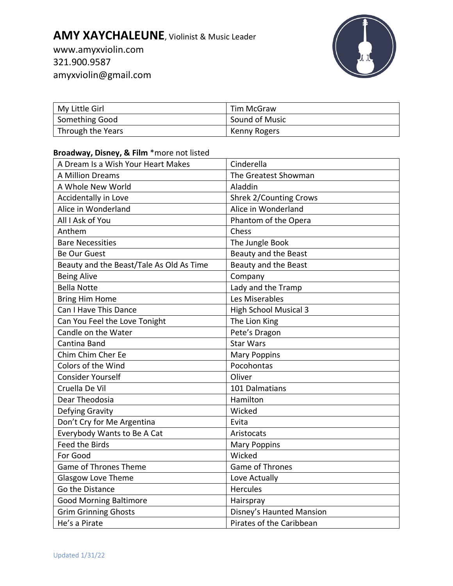www.amyxviolin.com 321.900.9587 amyxviolin@gmail.com



| My Little Girl    | Tim McGraw     |
|-------------------|----------------|
| Something Good    | Sound of Music |
| Through the Years | Kenny Rogers   |

### **Broadway, Disney, & Film** \*more not listed

| A Dream Is a Wish Your Heart Makes       | Cinderella                   |
|------------------------------------------|------------------------------|
| A Million Dreams                         | The Greatest Showman         |
| A Whole New World                        | Aladdin                      |
| Accidentally in Love                     | Shrek 2/Counting Crows       |
| Alice in Wonderland                      | Alice in Wonderland          |
| All I Ask of You                         | Phantom of the Opera         |
| Anthem                                   | Chess                        |
| <b>Bare Necessities</b>                  | The Jungle Book              |
| <b>Be Our Guest</b>                      | Beauty and the Beast         |
| Beauty and the Beast/Tale As Old As Time | Beauty and the Beast         |
| <b>Being Alive</b>                       | Company                      |
| <b>Bella Notte</b>                       | Lady and the Tramp           |
| <b>Bring Him Home</b>                    | Les Miserables               |
| Can I Have This Dance                    | <b>High School Musical 3</b> |
| Can You Feel the Love Tonight            | The Lion King                |
| Candle on the Water                      | Pete's Dragon                |
| Cantina Band                             | <b>Star Wars</b>             |
| Chim Chim Cher Ee                        | <b>Mary Poppins</b>          |
| Colors of the Wind                       | Pocohontas                   |
| <b>Consider Yourself</b>                 | Oliver                       |
| Cruella De Vil                           | 101 Dalmatians               |
| Dear Theodosia                           | Hamilton                     |
| Defying Gravity                          | Wicked                       |
| Don't Cry for Me Argentina               | Evita                        |
| Everybody Wants to Be A Cat              | Aristocats                   |
| <b>Feed the Birds</b>                    | <b>Mary Poppins</b>          |
| For Good                                 | Wicked                       |
| Game of Thrones Theme                    | Game of Thrones              |
| <b>Glasgow Love Theme</b>                | Love Actually                |
| Go the Distance                          | Hercules                     |
| <b>Good Morning Baltimore</b>            | Hairspray                    |
| <b>Grim Grinning Ghosts</b>              | Disney's Haunted Mansion     |
| He's a Pirate                            | Pirates of the Caribbean     |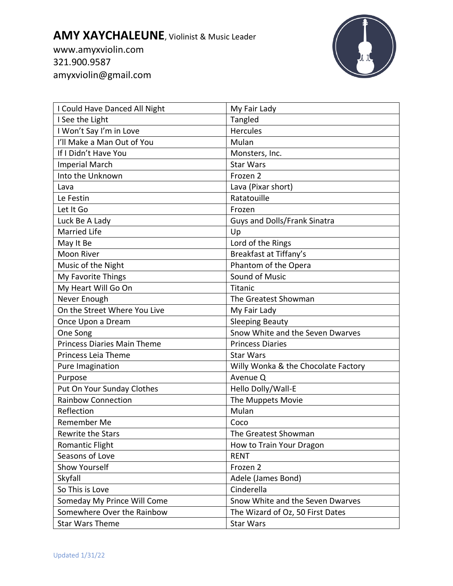www.amyxviolin.com 321.900.9587 amyxviolin@gmail.com



| I Could Have Danced All Night      | My Fair Lady                        |
|------------------------------------|-------------------------------------|
| I See the Light                    | Tangled                             |
| I Won't Say I'm in Love            | <b>Hercules</b>                     |
| I'll Make a Man Out of You         | Mulan                               |
| If I Didn't Have You               | Monsters, Inc.                      |
| <b>Imperial March</b>              | <b>Star Wars</b>                    |
| Into the Unknown                   | Frozen 2                            |
| Lava                               | Lava (Pixar short)                  |
| Le Festin                          | Ratatouille                         |
| Let It Go                          | Frozen                              |
| Luck Be A Lady                     | Guys and Dolls/Frank Sinatra        |
| <b>Married Life</b>                | Up                                  |
| May It Be                          | Lord of the Rings                   |
| Moon River                         | Breakfast at Tiffany's              |
| Music of the Night                 | Phantom of the Opera                |
| My Favorite Things                 | Sound of Music                      |
| My Heart Will Go On                | Titanic                             |
| Never Enough                       | The Greatest Showman                |
| On the Street Where You Live       | My Fair Lady                        |
| Once Upon a Dream                  | <b>Sleeping Beauty</b>              |
| One Song                           | Snow White and the Seven Dwarves    |
| <b>Princess Diaries Main Theme</b> | <b>Princess Diaries</b>             |
| <b>Princess Leia Theme</b>         | <b>Star Wars</b>                    |
| Pure Imagination                   | Willy Wonka & the Chocolate Factory |
| Purpose                            | Avenue Q                            |
| Put On Your Sunday Clothes         | Hello Dolly/Wall-E                  |
| <b>Rainbow Connection</b>          | The Muppets Movie                   |
| Reflection                         | Mulan                               |
| Remember Me                        | Coco                                |
| <b>Rewrite the Stars</b>           | The Greatest Showman                |
| <b>Romantic Flight</b>             | How to Train Your Dragon            |
| Seasons of Love                    | <b>RENT</b>                         |
| <b>Show Yourself</b>               | Frozen 2                            |
| Skyfall                            | Adele (James Bond)                  |
| So This is Love                    | Cinderella                          |
| Someday My Prince Will Come        | Snow White and the Seven Dwarves    |
| Somewhere Over the Rainbow         | The Wizard of Oz, 50 First Dates    |
| <b>Star Wars Theme</b>             | <b>Star Wars</b>                    |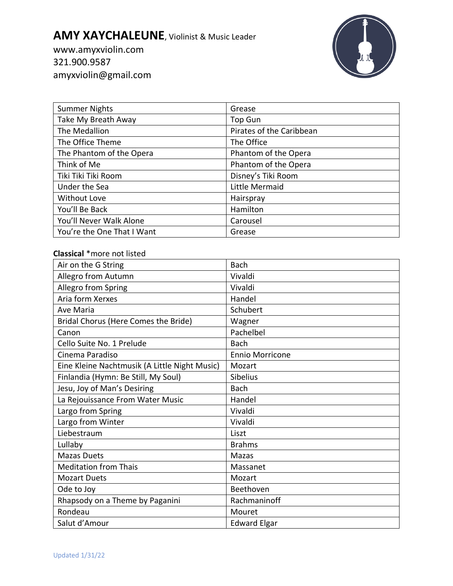www.amyxviolin.com 321.900.9587 amyxviolin@gmail.com



| <b>Summer Nights</b>       | Grease                   |
|----------------------------|--------------------------|
| Take My Breath Away        | <b>Top Gun</b>           |
| The Medallion              | Pirates of the Caribbean |
| The Office Theme           | The Office               |
| The Phantom of the Opera   | Phantom of the Opera     |
| Think of Me                | Phantom of the Opera     |
| Tiki Tiki Tiki Room        | Disney's Tiki Room       |
| Under the Sea              | Little Mermaid           |
| Without Love               | Hairspray                |
| You'll Be Back             | Hamilton                 |
| You'll Never Walk Alone    | Carousel                 |
| You're the One That I Want | Grease                   |

#### **Classical** \*more not listed

| Air on the G String                           | <b>Bach</b>            |
|-----------------------------------------------|------------------------|
| Allegro from Autumn                           | Vivaldi                |
| Allegro from Spring                           | Vivaldi                |
| Aria form Xerxes                              | Handel                 |
| Ave Maria                                     | Schubert               |
| Bridal Chorus (Here Comes the Bride)          | Wagner                 |
| Canon                                         | Pachelbel              |
| Cello Suite No. 1 Prelude                     | <b>Bach</b>            |
| Cinema Paradiso                               | <b>Ennio Morricone</b> |
| Eine Kleine Nachtmusik (A Little Night Music) | Mozart                 |
| Finlandia (Hymn: Be Still, My Soul)           | <b>Sibelius</b>        |
| Jesu, Joy of Man's Desiring                   | <b>Bach</b>            |
| La Rejouissance From Water Music              | Handel                 |
| Largo from Spring                             | Vivaldi                |
| Largo from Winter                             | Vivaldi                |
| Liebestraum                                   | Liszt                  |
| Lullaby                                       | <b>Brahms</b>          |
| <b>Mazas Duets</b>                            | <b>Mazas</b>           |
| <b>Meditation from Thais</b>                  | Massanet               |
| <b>Mozart Duets</b>                           | Mozart                 |
| Ode to Joy                                    | Beethoven              |
| Rhapsody on a Theme by Paganini               | Rachmaninoff           |
| Rondeau                                       | Mouret                 |
| Salut d'Amour                                 | <b>Edward Elgar</b>    |